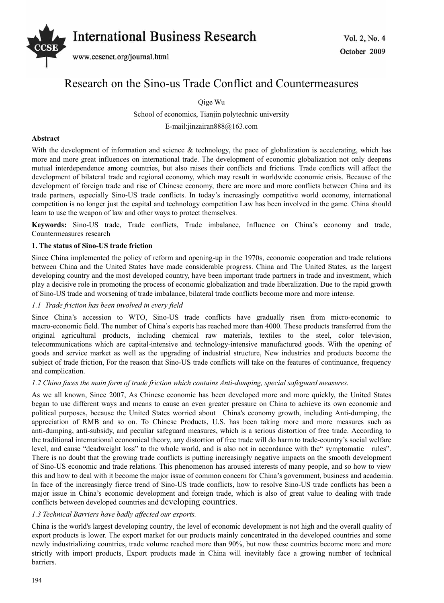

# Research on the Sino-us Trade Conflict and Countermeasures

Qige Wu

School of economics, Tianjin polytechnic university E-mail:jinzairan888@163.com

## **Abstract**

With the development of information and science & technology, the pace of globalization is accelerating, which has more and more great influences on international trade. The development of economic globalization not only deepens mutual interdependence among countries, but also raises their conflicts and frictions. Trade conflicts will affect the development of bilateral trade and regional economy, which may result in worldwide economic crisis. Because of the development of foreign trade and rise of Chinese economy, there are more and more conflicts between China and its trade partners, especially Sino-US trade conflicts. In today's increasingly competitive world economy, international competition is no longer just the capital and technology competition Law has been involved in the game. China should learn to use the weapon of law and other ways to protect themselves.

**Keywords:** Sino-US trade, Trade conflicts, Trade imbalance, Influence on China's economy and trade, Countermeasures research

## **1. The status of Sino-US trade friction**

Since China implemented the policy of reform and opening-up in the 1970s, economic cooperation and trade relations between China and the United States have made considerable progress. China and The United States, as the largest developing country and the most developed country, have been important trade partners in trade and investment, which play a decisive role in promoting the process of economic globalization and trade liberalization. Due to the rapid growth of Sino-US trade and worsening of trade imbalance, bilateral trade conflicts become more and more intense.

## *1.1 Trade friction has been involved in every field*

Since China's accession to WTO, Sino-US trade conflicts have gradually risen from micro-economic to macro-economic field. The number of China's exports has reached more than 4000. These products transferred from the original agricultural products, including chemical raw materials, textiles to the steel, color television, telecommunications which are capital-intensive and technology-intensive manufactured goods. With the opening of goods and service market as well as the upgrading of industrial structure, New industries and products become the subject of trade friction, For the reason that Sino-US trade conflicts will take on the features of continuance, frequency and complication.

#### *1.2 China faces the main form of trade friction which contains Anti-dumping, special safeguard measures.*

As we all known, Since 2007, As Chinese economic has been developed more and more quickly, the United States began to use different ways and means to cause an even greater pressure on China to achieve its own economic and political purposes, because the United States worried about China's economy growth, including Anti-dumping, the appreciation of RMB and so on. To Chinese Products, U.S. has been taking more and more measures such as anti-dumping, anti-subsidy, and peculiar safeguard measures, which is a serious distortion of free trade. According to the traditional international economical theory, any distortion of free trade will do harm to trade-country's social welfare level, and cause "deadweight loss" to the whole world, and is also not in accordance with the" symptomatic rules". There is no doubt that the growing trade conflicts is putting increasingly negative impacts on the smooth development of Sino-US economic and trade relations. This phenomenon has aroused interests of many people, and so how to view this and how to deal with it become the major issue of common concern for China's government, business and academia. In face of the increasingly fierce trend of Sino-US trade conflicts, how to resolve Sino-US trade conflicts has been a major issue in China's economic development and foreign trade, which is also of great value to dealing with trade conflicts between developed countries and developing countries.

## *1.3 Technical Barriers have badly affected our exports.*

China is the world's largest developing country, the level of economic development is not high and the overall quality of export products is lower. The export market for our products mainly concentrated in the developed countries and some newly industrializing countries, trade volume reached more than 90%, but now these countries become more and more strictly with import products, Export products made in China will inevitably face a growing number of technical barriers.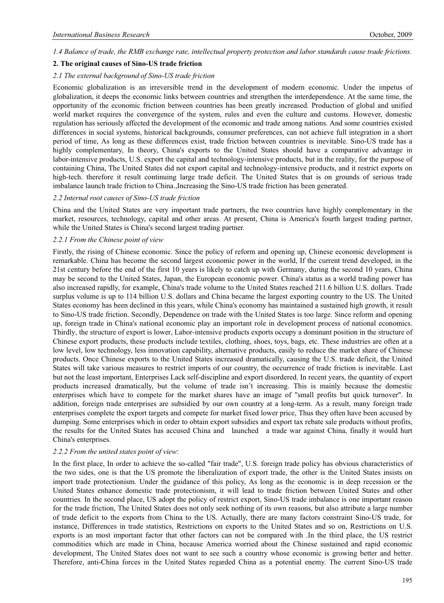*1.4 Balance of trade, the RMB exchange rate, intellectual property protection and labor standards cause trade frictions.* 

## **2. The original causes of Sino-US trade friction**

#### *2.1 The external background of Sino-US trade friction*

Economic globalization is an irreversible trend in the development of modern economic. Under the impetus of globalization, it deeps the economic links between countries and strengthen the interdependence. At the same time, the opportunity of the economic friction between countries has been greatly increased. Production of global and unified world market requires the convergence of the system, rules and even the culture and customs. However, domestic regulation has seriously affected the development of the economic and trade among nations. And some countries existed differences in social systems, historical backgrounds, consumer preferences, can not achieve full integration in a short period of time, As long as these differences exist, trade friction between countries is inevitable. Sino-US trade has a highly complementary, In theory, China's exports to the United States should have a comparative advantage in labor-intensive products, U.S. export the capital and technology-intensive products, but in the reality, for the purpose of containing China, The United States did not export capital and technology-intensive products, and it restrict exports on high-tech. therefore it result continuing large trade deficit. The United States that is on grounds of serious trade imbalance launch trade friction to China.,Increasing the Sino-US trade friction has been generated.

#### *2.2 Internal root causes of Sino-US trade friction*

China and the United States are very important trade partners, the two countries have highly complementary in the market, resources, technology, capital and other areas. At present, China is America's fourth largest trading partner, while the United States is China's second largest trading partner.

#### *2.2.1 From the Chinese point of view*

Firstly, the rising of Chinese economic. Since the policy of reform and opening up, Chinese economic development is remarkable. China has become the second largest economic power in the world, If the current trend developed, in the 21st century before the end of the first 10 years is likely to catch up with Germany, during the second 10 years, China may be second to the United States, Japan, the European economic power. China's status as a world trading power has also increased rapidly, for example, China's trade volume to the United States reached 211.6 billion U.S. dollars. Trade surplus volume is up to 114 billion U.S. dollars and China became the largest exporting country to the US. The United States economy has been declined in this years, while China's economy has maintained a sustained high growth, it result to Sino-US trade friction. Secondly, Dependence on trade with the United States is too large. Since reform and opening up, foreign trade in China's national economic play an important role in development process of national economics. Thirdly, the structure of export is lower, Labor-intensive products exports occupy a dominant position in the structure of Chinese export products, these products include textiles, clothing, shoes, toys, bags, etc. These industries are often at a low level, low technology, less innovation capability, alternative products, easily to reduce the market share of Chinese products. Once Chinese exports to the United States increased dramatically, causing the U.S. trade deficit, the United States will take various measures to restrict imports of our country, the occurrence of trade friction is inevitable. Last but not the least important, Enterprises Lack self-discipline and export disordered. In recent years, the quantity of export products increased dramatically, but the volume of trade isn't increasing. This is mainly because the domestic enterprises which have to compete for the market shares have an image of "small profits but quick turnover". In addition, foreign trade enterprises are subsidied by our own country at a long-term. As a result, many foreign trade enterprises complete the export targets and compete for market fixed lower price, Thus they often have been accused by dumping. Some enterprises which in order to obtain export subsidies and export tax rebate sale products without profits, the results for the United States has accused China and launched a trade war against China, finally it would hurt China's enterprises.

#### *2.2.2 From the united states point of view*:

In the first place, In order to achieve the so-called "fair trade", U.S. foreign trade policy has obvious characteristics of the two sides, one is that the US promote the liberalization of export trade, the other is the United States insists on import trade protectionism. Under the guidance of this policy, As long as the economic is in deep recession or the United States enhance domestic trade protectionism, it will lead to trade friction between United States and other countries. In the second place, US adopt the policy of restrict export, Sino-US trade imbalance is one important reason for the trade friction, The United States does not only seek nothing of its own reasons, but also attribute a large number of trade deficit to the exports from China to the US. Actually, there are many factors constraint Sino-US trade, for instance, Differences in trade statistics, Restrictions on exports to the United States and so on, Restrictions on U.S. exports is an most important factor that other factors can not be compared with .In the third place, the US restrict commodities which are made in China, because America worried about the Chinese sustained and rapid economic development, The United States does not want to see such a country whose economic is growing better and better. Therefore, anti-China forces in the United States regarded China as a potential enemy. The current Sino-US trade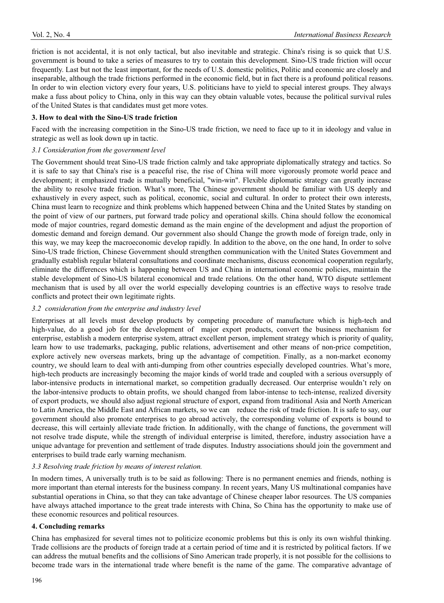friction is not accidental, it is not only tactical, but also inevitable and strategic. China's rising is so quick that U.S. government is bound to take a series of measures to try to contain this development. Sino-US trade friction will occur frequently. Last but not the least important, for the needs of U.S. domestic politics, Politic and economic are closely and inseparable, although the trade frictions performed in the economic field, but in fact there is a profound political reasons. In order to win election victory every four years, U.S. politicians have to yield to special interest groups. They always make a fuss about policy to China, only in this way can they obtain valuable votes, because the political survival rules of the United States is that candidates must get more votes.

### **3. How to deal with the Sino-US trade friction**

Faced with the increasing competition in the Sino-US trade friction, we need to face up to it in ideology and value in strategic as well as look down up in tactic.

## *3.1 Consideration from the government level*

The Government should treat Sino-US trade friction calmly and take appropriate diplomatically strategy and tactics. So it is safe to say that China's rise is a peaceful rise, the rise of China will more vigorously promote world peace and development; it emphasized trade is mutually beneficial, "win-win". Flexible diplomatic strategy can greatly increase the ability to resolve trade friction. What's more, The Chinese government should be familiar with US deeply and exhaustively in every aspect, such as political, economic, social and cultural. In order to protect their own interests, China must learn to recognize and think problems which happened between China and the United States by standing on the point of view of our partners, put forward trade policy and operational skills. China should follow the economical mode of major countries, regard domestic demand as the main engine of the development and adjust the proportion of domestic demand and foreign demand. Our government also should Change the growth mode of foreign trade, only in this way, we may keep the macroeconomic develop rapidly. In addition to the above, on the one hand, In order to solve Sino-US trade friction, Chinese Government should strengthen communication with the United States Government and gradually establish regular bilateral consultations and coordinate mechanisms, discuss economical cooperation regularly, eliminate the differences which is happening between US and China in international economic policies, maintain the stable development of Sino-US bilateral economical and trade relations. On the other hand, WTO dispute settlement mechanism that is used by all over the world especially developing countries is an effective ways to resolve trade conflicts and protect their own legitimate rights.

## *3.2 consideration from the enterprise and industry level*

Enterprises at all levels must develop products by competing procedure of manufacture which is high-tech and high-value, do a good job for the development of major export products, convert the business mechanism for enterprise, establish a modern enterprise system, attract excellent person, implement strategy which is priority of quality, learn how to use trademarks, packaging, public relations, advertisement and other means of non-price competition, explore actively new overseas markets, bring up the advantage of competition. Finally, as a non-market economy country, we should learn to deal with anti-dumping from other countries especially developed countries. What's more, high-tech products are increasingly becoming the major kinds of world trade and coupled with a serious oversupply of labor-intensive products in international market, so competition gradually decreased. Our enterprise wouldn't rely on the labor-intensive products to obtain profits, we should changed from labor-intense to tech-intense, realized diversity of export products, we should also adjust regional structure of export, expand from traditional Asia and North American to Latin America, the Middle East and African markets, so we can reduce the risk of trade friction. It is safe to say, our government should also promote enterprises to go abroad actively, the corresponding volume of exports is bound to decrease, this will certainly alleviate trade friction. In additionally, with the change of functions, the government will not resolve trade dispute, while the strength of individual enterprise is limited, therefore, industry association have a unique advantage for prevention and settlement of trade disputes. Industry associations should join the government and enterprises to build trade early warning mechanism.

## *3.3 Resolving trade friction by means of interest relation.*

In modern times, A universally truth is to be said as following: There is no permanent enemies and friends, nothing is more important than eternal interests for the business company. In recent years, Many US multinational companies have substantial operations in China, so that they can take advantage of Chinese cheaper labor resources. The US companies have always attached importance to the great trade interests with China, So China has the opportunity to make use of these economic resources and political resources.

#### **4. Concluding remarks**

China has emphasized for several times not to politicize economic problems but this is only its own wishful thinking. Trade collisions are the products of foreign trade at a certain period of time and it is restricted by political factors. If we can address the mutual benefits and the collisions of Sino American trade properly, it is not possible for the collisions to become trade wars in the international trade where benefit is the name of the game. The comparative advantage of